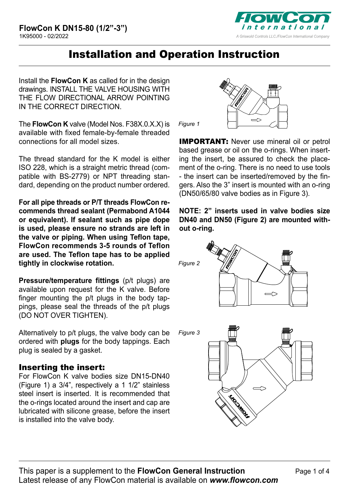

# Installation and Operation Instruction

Install the **FlowCon K** as called for in the design drawings. INSTALL THE VALVE HOUSING WITH THE FLOW DIRECTIONAL ARROW POINTING IN THE CORRECT DIRECTION.

The **FlowCon K** valve (Model Nos. F38X.0.X.X) is available with fixed female-by-female threaded connections for all model sizes.

The thread standard for the K model is either ISO 228, which is a straight metric thread (compatible with BS-2779) or NPT threading standard, depending on the product number ordered.

**For all pipe threads or P/T threads FlowCon recommends thread sealant (Permabond A1044 or equivalent). If sealant such as pipe dope is used, please ensure no strands are left in the valve or piping. When using Teflon tape, FlowCon recommends 3-5 rounds of Teflon are used. The Teflon tape has to be applied tightly in clockwise rotation.** 

**Pressure/temperature fittings** (p/t plugs) are available upon request for the K valve. Before finger mounting the p/t plugs in the body tappings, please seal the threads of the p/t plugs (DO NOT OVER TIGHTEN).

Alternatively to p/t plugs, the valve body can be ordered with **plugs** for the body tappings. Each plug is sealed by a gasket.

# Inserting the insert:

For FlowCon K valve bodies size DN15-DN40 (Figure 1) a 3/4", respectively a 1 1/2" stainless steel insert is inserted. It is recommended that the o-rings located around the insert and cap are lubricated with silicone grease, before the insert is installed into the valve body.



*Figure 1*

**IMPORTANT:** Never use mineral oil or petrol based grease or oil on the o-rings. When inserting the insert, be assured to check the placement of the o-ring. There is no need to use tools - the insert can be inserted/removed by the fingers. Also the 3" insert is mounted with an o-ring (DN50/65/80 valve bodies as in Figure 3).

**NOTE: 2" inserts used in valve bodies size DN40 and DN50 (Figure 2) are mounted without o-ring.**

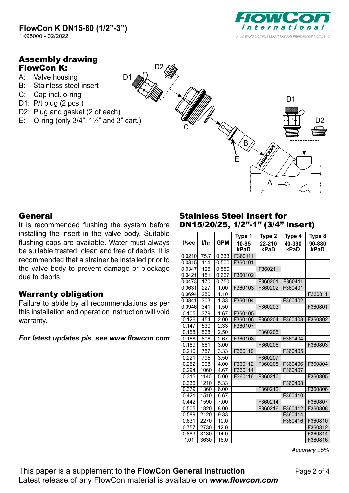

# Assembly drawing FlowCon K:

- A: Valve housing
- B: Stainless steel insert
- C: Cap incl. o-ring
- D1: P/t plug (2 pcs.)
- D2: Plug and gasket (2 of each)
- E: O-ring (only  $3/4$ ",  $1\frac{1}{2}$ " and  $3$ " cart.)

D1



#### General

It is recommended flushing the system before installing the insert in the valve body. Suitable flushing caps are available. Water must always be suitable treated, clean and free of debris. It is recommended that a strainer be installed prior to the valve body to prevent damage or blockage due to debris.

# Warranty obligation

Failure to abide by all recommendations as per this installation and operation instruction will void warranty.

#### *For latest updates pls. see [www.flowcon.com](http://www.flowcon.com)*

#### Stainless Steel Insert for DN15/20/25, 1/2"-1" (3/4" insert)

|        |      |            | Type 1        | Type 2         | Type 4         | Type 8         |
|--------|------|------------|---------------|----------------|----------------|----------------|
| l/sec  | l/hr | <b>GPM</b> | 10-95<br>kPaD | 22-210<br>kPaD | 40-390<br>kPaD | 90-880<br>kPaD |
| 0.0210 | 75.7 | 0.333      | F360111       |                |                |                |
| 0.0315 | 114  | 0.500      | F360101       |                |                |                |
| 0.0347 | 125  | 0.550      |               | F360211        |                |                |
| 0.0421 | 151  | 0.667      | F360102       |                |                |                |
| 0.0473 | 170  | 0.750      |               | F360201        | F360411        |                |
| 0.0631 | 227  | 1.00       | F360103       | F360202        | F360401        |                |
| 0.0694 | 250  | 1.10       |               |                |                | F360811        |
| 0.0841 | 303  | 1.33       | F360104       |                | F360402        |                |
| 0.0946 | 341  | 1.50       |               | F360203        |                | F360801        |
| 0.105  | 379  | 1.67       | F360105       |                |                |                |
| 0.126  | 454  | 2.00       | F360106       | F360204        | F360403        | F360802        |
| 0.147  | 530  | 2.33       | F360107       |                |                |                |
| 0.158  | 568  | 2.50       |               | F360205        |                |                |
| 0.168  | 606  | 2.67       | F360108       |                | F360404        |                |
| 0.189  | 681  | 3.00       |               | F360206        |                | F360803        |
| 0.210  | 757  | 3.33       | F360110       |                | F360405        |                |
| 0.221  | 795  | 3.50       |               | F360207        |                |                |
| 0.252  | 908  | 4.00       | F360112       | F360208        | F360406        | F360804        |
| 0.294  | 1060 | 4.67       | F360114       |                | F360407        |                |
| 0.315  | 1140 | 5.00       | F360116       | F360210        |                | F360805        |
| 0.336  | 1210 | 5.33       |               |                | F360408        |                |
| 0.379  | 1360 | 6.00       |               | F360212        |                | F360806        |
| 0.421  | 1510 | 6.67       |               |                | F360410        |                |
| 0.442  | 1590 | 7.00       |               | F360214        |                | F360807        |
| 0.505  | 1820 | 8.00       |               | F360216        | F360412        | F360808        |
| 0.589  | 2120 | 9.33       |               |                | F360414        |                |
| 0.631  | 2270 | 10.0       |               |                | F360416        | F360810        |
| 0.757  | 2730 | 12.0       |               |                |                | F360812        |
| 0.883  | 3180 | 14.0       |               |                |                | F360814        |
| 1.01   | 3630 | 16.0       |               |                |                | F360816        |

*Accuracy ±5%*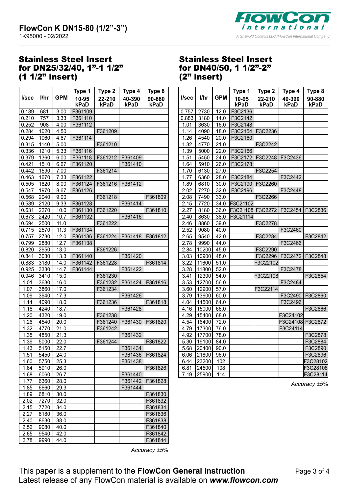

### Stainless Steel Insert for DN25/32/40, 1"-1 1/2" (1 1/2" insert)

|       |      |            | Type 1        | Type 2         | Type 4         | Type 8         |
|-------|------|------------|---------------|----------------|----------------|----------------|
| l/sec | l/hr | <b>GPM</b> | 10-95<br>kPaD | 22-210<br>kPaD | 40-390<br>kPaD | 90-880<br>kPaD |
| 0.189 | 681  | 3.00       | F361109       |                |                |                |
| 0.210 | 757  | 3.33       | F361110       |                |                |                |
| 0.252 | 908  | 4.00       | F361112       |                |                |                |
| 0.284 | 1020 | 4.50       |               | F361209        |                |                |
| 0.294 | 1060 | 4.67       | F361114       |                |                |                |
| 0.315 | 1140 | 5.00       |               | F361210        |                |                |
| 0.336 | 1210 | 5.33       | F361116       |                |                |                |
| 0.379 | 1360 | 6.00       | F361118       | F361212        | F361409        |                |
| 0.421 | 1510 | 6.67       | F361120       |                | F361410        |                |
| 0.442 | 1590 | 7.00       |               | F361214        |                |                |
| 0.463 | 1670 | 7.33       | F361122       |                |                |                |
| 0.505 | 1820 | 8.00       | F361124       | F361216        | F361412        |                |
| 0.547 | 1970 | 8.67       | F361126       |                |                |                |
| 0.568 | 2040 | 9.00       |               | F361218        |                | F361809        |
| 0.589 | 2120 | 9.33       | F361128       |                | F361414        |                |
| 0.631 | 2270 | 10.0       | F361130       | F361220        |                | F361810        |
| 0.673 | 2420 | 10.7       | F361132       |                | F361416        |                |
| 0.694 | 2500 | 11.0       |               | F361222        |                |                |
| 0.715 | 2570 | 11.3       | F361134       |                |                |                |
| 0.757 | 2730 | 12.0       | F361136       | F361224        | F361418        | F361812        |
| 0.799 | 2880 | 12.7       | F361138       |                |                |                |
| 0.820 | 2950 | 13.0       |               | F361226        |                |                |
| 0.841 | 3030 | 13.3       | F361140       |                | F361420        |                |
| 0.883 | 3180 | 14.0       | F361142       | F361228        |                | F361814        |
| 0.925 | 3330 | 14.7       | F361144       |                | F361422        |                |
| 0.946 | 3410 | 15.0       |               | F361230        |                |                |
| 1.01  | 3630 | 16.0       |               | F361232        | F361424        | F361816        |
| 1.07  | 3860 | 17.0       |               | F361234        |                |                |
| 1.09  | 3940 | 17.3       |               |                | F361426        |                |
| 1.14  | 4090 | 18.0       |               | F361236        |                | F361818        |
| 1.18  | 4240 | 18.7       |               |                | F361428        |                |
| 1.20  | 4320 | 19.0       |               | F361238        |                |                |
| 1.26  | 4540 | 20.0       |               | F361240        | F361430        | F361820        |
| 1.32  | 4770 | 21.0       |               | F361242        |                |                |
| 1.35  | 4850 | 21.3       |               |                | F361432        |                |
| 1.39  | 5000 | 22.0       |               | F361244        |                | F361822        |
| 1.43  | 5150 | 22.7       |               |                | F361434        |                |
| 1.51  | 5450 | 24.0       |               |                | F361436        | F361824        |
| 1.60  | 5750 | 25.3       |               |                | F361438        |                |
| 1.64  | 5910 | 26.0       |               |                |                | F361826        |
| 1.68  | 6060 | 26.7       |               |                | F361440        |                |
| 1.77  | 6360 | 28.0       |               |                | F361442        | F361828        |
| 1.85  | 6660 | 29.3       |               |                | F361444        |                |
| 1.89  | 6810 | 30.0       |               |                |                | F361830        |
| 2.02  | 7270 | 32.0       |               |                |                | F361832        |
| 2.15  | 7720 | 34.0       |               |                |                | F361834        |
| 2.27  | 8180 | 36.0       |               |                |                | F361836        |
| 2.40  | 8630 | 38.0       |               |                |                | F361838        |
| 2.52  | 9080 | 40.0       |               |                |                | F361840        |
| 2.65  | 9540 | 42.0       |               |                |                | F361842        |
| 2.78  | 9990 | 44.0       |               |                |                | F361844        |

#### Stainless Steel Insert for DN40/50, 1 1/2"-2"  $(2"$  insert)

|       |       |            | Type 1           | Type 2          | Type 4           | Type 8         |
|-------|-------|------------|------------------|-----------------|------------------|----------------|
| l/sec | l/hr  | <b>GPM</b> | 10-95<br>kPaD    | 22-210<br>kPaD  | 40-390<br>kPaD   | 90-880<br>kPaD |
| 0.757 | 2730  | 12.0       | F3C2136          |                 |                  |                |
| 0.883 | 3180  | 14.0       | F3C2142          |                 |                  |                |
| 1.01  | 3630  | 16.0       | F3C2148          |                 |                  |                |
| 1.14  | 4090  | 18.0       | F3C2154 F3C2236  |                 |                  |                |
| 1.26  | 4540  | 20.0       | F3C2160          |                 |                  |                |
| 1.32  | 4770  | 21.0       |                  | F3C2242         |                  |                |
| 1.39  | 5000  | 22.0       | F3C2166          |                 |                  |                |
| 1.51  | 5450  | 24.0       |                  | F3C2172 F3C2248 | F3C2436          |                |
| 1.64  | 5910  | 26.0       | F3C2178          |                 |                  |                |
| 1.70  | 6130  | 27.0       |                  | F3C2254         |                  |                |
| 1.77  | 6360  | 28.0       | F3C2184          |                 | F3C2442          |                |
| 1.89  | 6810  | 30.0       | F3C2190 F3C2260  |                 |                  |                |
| 2.02  | 7270  | 32.0       | F3C2196          |                 | F3C2448          |                |
| 2.08  | 7490  | 33.0       |                  | F3C2266         |                  |                |
| 2.15  | 7720  | 34.0       | F3C21102         |                 |                  |                |
| 2.27  | 8180  | 36.0       | F3C21108 F3C2272 |                 | F3C2454 F3C2836  |                |
| 2.40  | 8630  | 38.0       | F3C21114         |                 |                  |                |
| 2.46  | 8860  | 39.0       |                  | F3C2278         |                  |                |
| 2.52  | 9080  | 40.0       |                  |                 | F3C2460          |                |
| 2.65  | 9540  | 42.0       |                  | F3C2284         |                  | F3C2842        |
| 2.78  | 9990  | 44.0       |                  |                 | F3C2466          |                |
| 2.84  | 10200 | 45.0       |                  | F3C2290         |                  |                |
| 3.03  | 10900 | 48.0       |                  |                 | F3C2296 F3C2472  | F3C2848        |
| 3.22  | 11600 | 51.0       |                  | F3C22102        |                  |                |
| 3.28  | 11800 | 52.0       |                  |                 | F3C2478          |                |
| 3.41  | 12300 | 54.0       |                  | F3C22108        |                  | F3C2854        |
| 3.53  | 12700 | 56.0       |                  |                 | F3C2484          |                |
| 3.60  | 12900 | 57.0       |                  | F3C22114        |                  |                |
| 3.79  | 13600 | 60.0       |                  |                 | F3C2490          | F3C2860        |
| 4.04  | 14500 | 64.0       |                  |                 | F3C2496          |                |
| 4.16  | 15000 | 66.0       |                  |                 |                  | F3C2866        |
| 4.29  | 15400 | 68.0       |                  |                 | F3C24102         |                |
| 4.54  | 16400 | 72.0       |                  |                 | F3C24108 F3C2872 |                |
| 4.79  | 17300 | 76.0       |                  |                 | F3C24114         |                |
| 4.92  | 17700 | 78.0       |                  |                 |                  | F3C2878        |
| 5.30  | 19100 | 84.0       |                  |                 |                  | F3C2884        |
| 5.68  | 20400 | 90.0       |                  |                 |                  | F3C2890        |
| 6.06  | 21800 | 96.0       |                  |                 |                  | F3C2896        |
| 6.44  | 23200 | 102        |                  |                 |                  | F3C28102       |
| 6.81  | 24500 | 108        |                  |                 |                  | F3C28108       |
| 7.19  | 25900 | 114        |                  |                 |                  | F3C28114       |

*Accuracy ±5%*

*Accuracy ±5%*